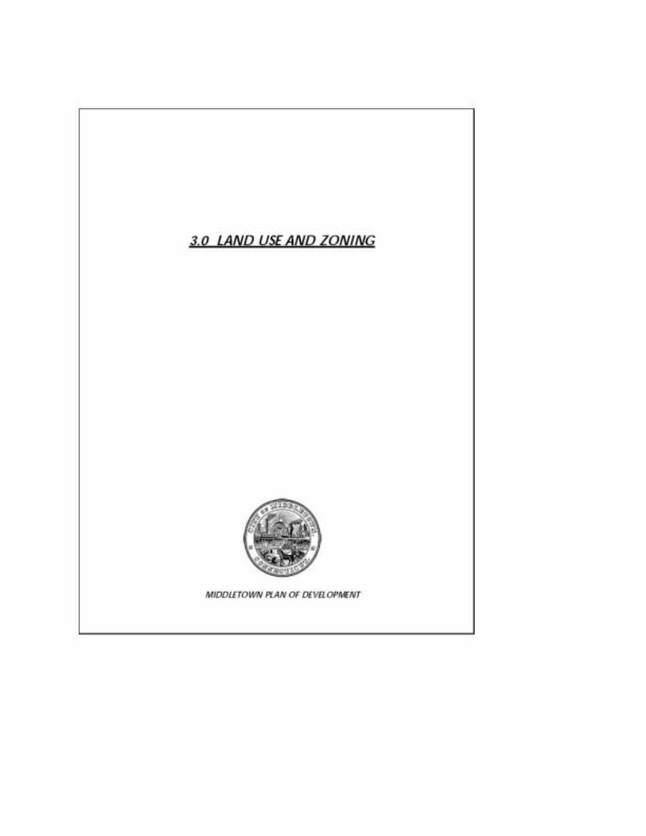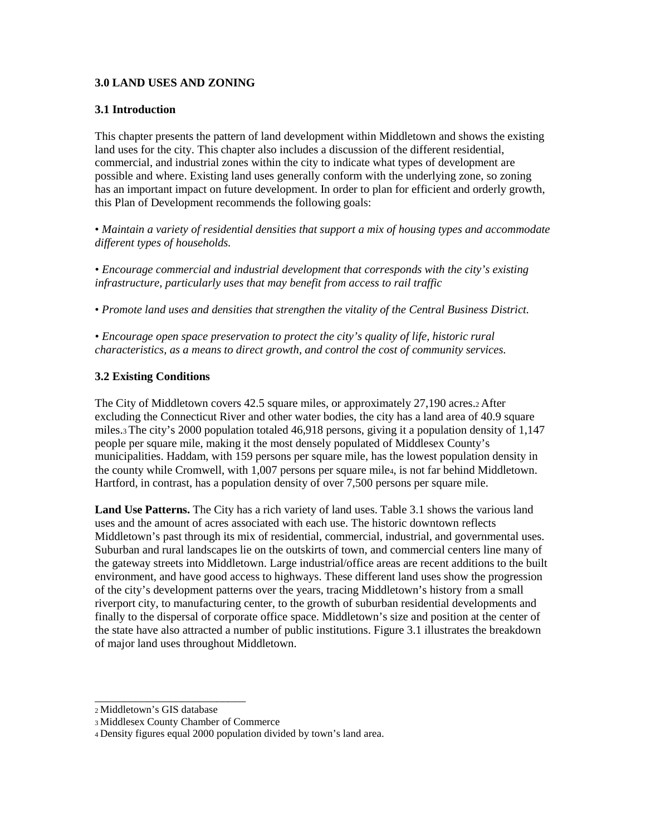## **3.0 LAND USES AND ZONING**

## **3.1 Introduction**

This chapter presents the pattern of land development within Middletown and shows the existing land uses for the city. This chapter also includes a discussion of the different residential, commercial, and industrial zones within the city to indicate what types of development are possible and where. Existing land uses generally conform with the underlying zone, so zoning has an important impact on future development. In order to plan for efficient and orderly growth, this Plan of Development recommends the following goals:

• *Maintain a variety of residential densities that support a mix of housing types and accommodate different types of households.* 

*• Encourage commercial and industrial development that corresponds with the city's existing infrastructure, particularly uses that may benefit from access to rail traffic* 

• *Promote land uses and densities that strengthen the vitality of the Central Business District.* 

*• Encourage open space preservation to protect the city's quality of life, historic rural characteristics, as a means to direct growth, and control the cost of community services.* 

## **3.2 Existing Conditions**

The City of Middletown covers 42.5 square miles, or approximately 27,190 acres.2 After excluding the Connecticut River and other water bodies, the city has a land area of 40.9 square miles.3 The city's 2000 population totaled 46,918 persons, giving it a population density of 1,147 people per square mile, making it the most densely populated of Middlesex County's municipalities. Haddam, with 159 persons per square mile, has the lowest population density in the county while Cromwell, with 1,007 persons per square mile4, is not far behind Middletown. Hartford, in contrast, has a population density of over 7,500 persons per square mile.

**Land Use Patterns.** The City has a rich variety of land uses. Table 3.1 shows the various land uses and the amount of acres associated with each use. The historic downtown reflects Middletown's past through its mix of residential, commercial, industrial, and governmental uses. Suburban and rural landscapes lie on the outskirts of town, and commercial centers line many of the gateway streets into Middletown. Large industrial/office areas are recent additions to the built environment, and have good access to highways. These different land uses show the progression of the city's development patterns over the years, tracing Middletown's history from a small riverport city, to manufacturing center, to the growth of suburban residential developments and finally to the dispersal of corporate office space. Middletown's size and position at the center of the state have also attracted a number of public institutions. Figure 3.1 illustrates the breakdown of major land uses throughout Middletown.

\_\_\_\_\_\_\_\_\_\_\_\_\_\_\_\_\_\_\_\_\_\_\_\_\_\_

<sup>2</sup> Middletown's GIS database

<sup>3</sup> Middlesex County Chamber of Commerce

<sup>4</sup> Density figures equal 2000 population divided by town's land area.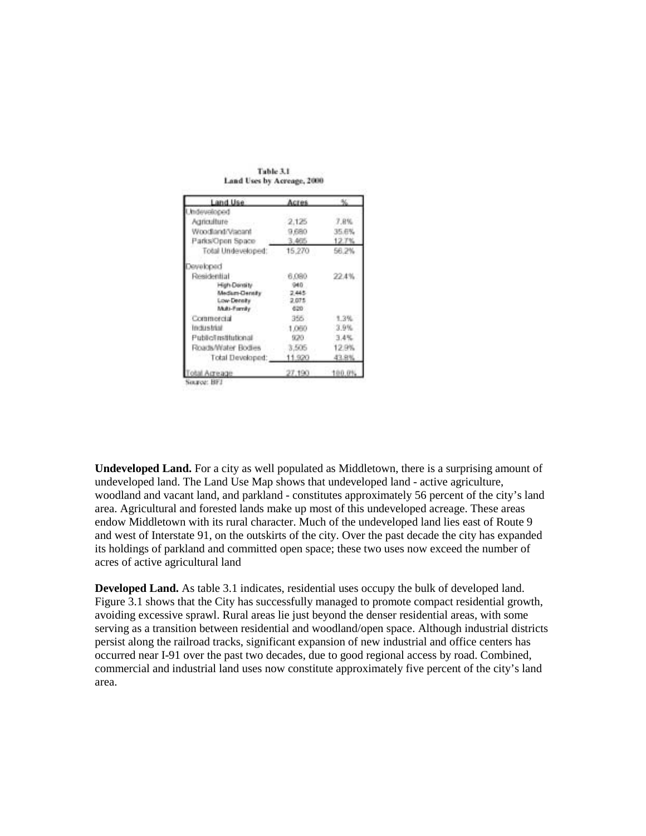| Land Use             | Acres   |        |
|----------------------|---------|--------|
| begolevebn           |         |        |
| Agriculture          | 2.125   | 7.8%   |
| Woodland/Vacant      | 9,680   | 35.6%  |
| Parks/Open Space     | 3,465   | 12.7%  |
| Total Undeveloped:   | 15,270  | 56.2%  |
| eveloped             |         |        |
| Residential          | 6,080   | 22.4%  |
| High Density         | 940     |        |
| Medium-Dentify       | 2.445   |        |
| Low-Density          | 2.075   |        |
| Multi-Fornity        | 620     |        |
| Commercial           | $355 -$ | 1.3%   |
| <b>Industrial</b>    | 1,060   | 3.9%   |
| Public/Institutional | 920.    | 3.4%   |
| Roads/Water Bodies   | 3,505   | 12.9%  |
| Total Developed:     | 11.920  | 13.8%  |
| Acreage              | 27.190  | 100.01 |

Table 3.1 Land Uses by Acreage, 2000

ource: 1911

**Undeveloped Land.** For a city as well populated as Middletown, there is a surprising amount of undeveloped land. The Land Use Map shows that undeveloped land - active agriculture, woodland and vacant land, and parkland - constitutes approximately 56 percent of the city's land area. Agricultural and forested lands make up most of this undeveloped acreage. These areas endow Middletown with its rural character. Much of the undeveloped land lies east of Route 9 and west of Interstate 91, on the outskirts of the city. Over the past decade the city has expanded its holdings of parkland and committed open space; these two uses now exceed the number of acres of active agricultural land

**Developed Land.** As table 3.1 indicates, residential uses occupy the bulk of developed land. Figure 3.1 shows that the City has successfully managed to promote compact residential growth, avoiding excessive sprawl. Rural areas lie just beyond the denser residential areas, with some serving as a transition between residential and woodland/open space. Although industrial districts persist along the railroad tracks, significant expansion of new industrial and office centers has occurred near I-91 over the past two decades, due to good regional access by road. Combined, commercial and industrial land uses now constitute approximately five percent of the city's land area.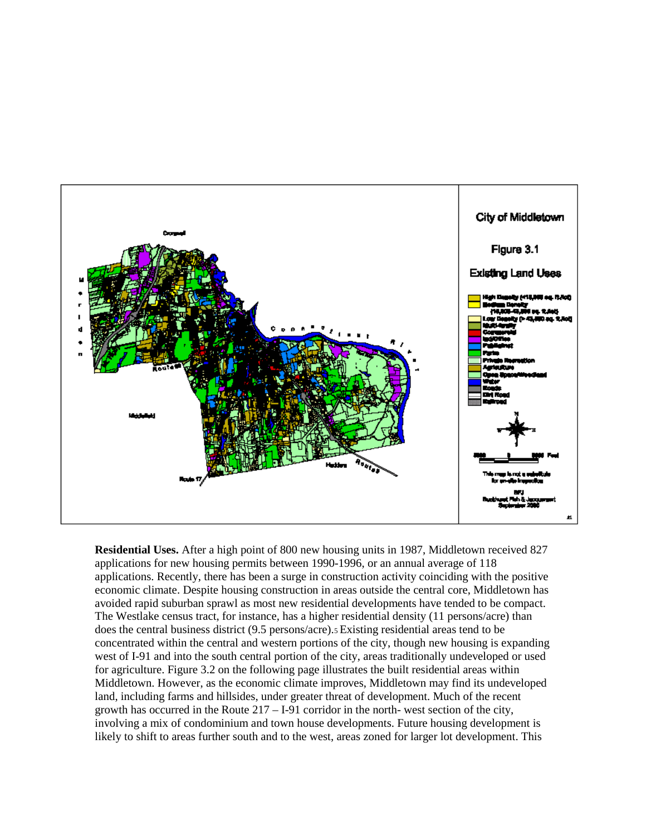

**Residential Uses.** After a high point of 800 new housing units in 1987, Middletown received 827 applications for new housing permits between 1990-1996, or an annual average of 118 applications. Recently, there has been a surge in construction activity coinciding with the positive economic climate. Despite housing construction in areas outside the central core, Middletown has avoided rapid suburban sprawl as most new residential developments have tended to be compact. The Westlake census tract, for instance, has a higher residential density (11 persons/acre) than does the central business district (9.5 persons/acre).5 Existing residential areas tend to be concentrated within the central and western portions of the city, though new housing is expanding west of I-91 and into the south central portion of the city, areas traditionally undeveloped or used for agriculture. Figure 3.2 on the following page illustrates the built residential areas within Middletown. However, as the economic climate improves, Middletown may find its undeveloped land, including farms and hillsides, under greater threat of development. Much of the recent growth has occurred in the Route 217 – I-91 corridor in the north- west section of the city, involving a mix of condominium and town house developments. Future housing development is likely to shift to areas further south and to the west, areas zoned for larger lot development. This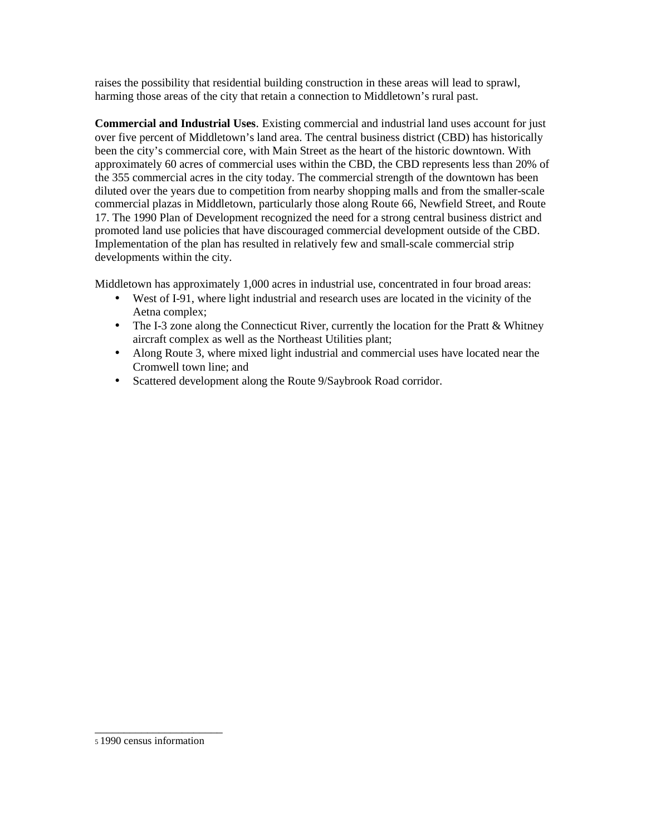raises the possibility that residential building construction in these areas will lead to sprawl, harming those areas of the city that retain a connection to Middletown's rural past.

**Commercial and Industrial Uses**. Existing commercial and industrial land uses account for just over five percent of Middletown's land area. The central business district (CBD) has historically been the city's commercial core, with Main Street as the heart of the historic downtown. With approximately 60 acres of commercial uses within the CBD, the CBD represents less than 20% of the 355 commercial acres in the city today. The commercial strength of the downtown has been diluted over the years due to competition from nearby shopping malls and from the smaller-scale commercial plazas in Middletown, particularly those along Route 66, Newfield Street, and Route 17. The 1990 Plan of Development recognized the need for a strong central business district and promoted land use policies that have discouraged commercial development outside of the CBD. Implementation of the plan has resulted in relatively few and small-scale commercial strip developments within the city.

Middletown has approximately 1,000 acres in industrial use, concentrated in four broad areas:

- West of I-91, where light industrial and research uses are located in the vicinity of the Aetna complex;
- The I-3 zone along the Connecticut River, currently the location for the Pratt & Whitney aircraft complex as well as the Northeast Utilities plant;
- Along Route 3, where mixed light industrial and commercial uses have located near the Cromwell town line; and
- Scattered development along the Route 9/Saybrook Road corridor.

\_\_\_\_\_\_\_\_\_\_\_\_\_\_\_\_\_\_\_\_\_\_

<sup>5 1990</sup> census information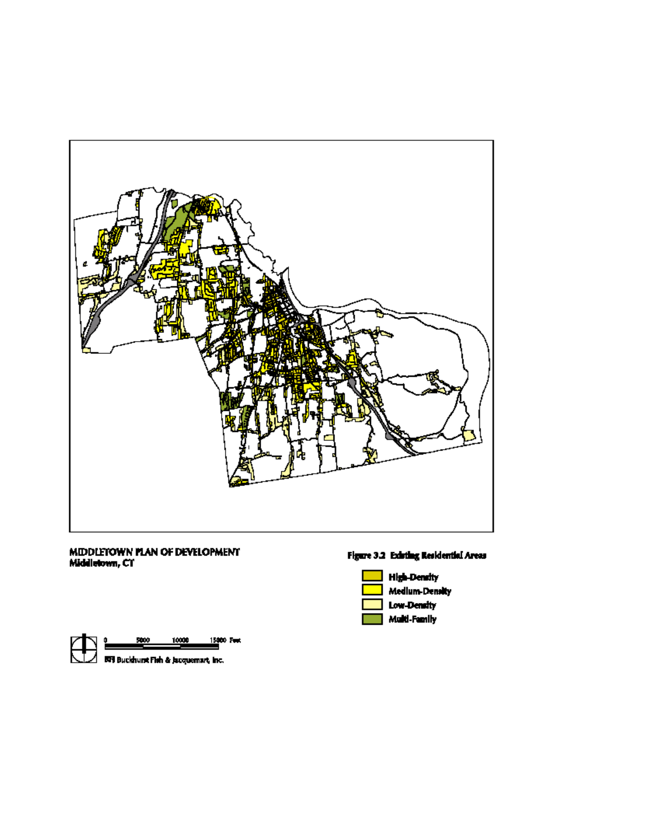

## MIDDLETOWN PLAN OF DEVELOPMENT<br>Middletown, CT







Multi-Family



10000 15000 Feet 5000

 $\angle$  607 Buckhurst Fish & Jacquemart, Inc.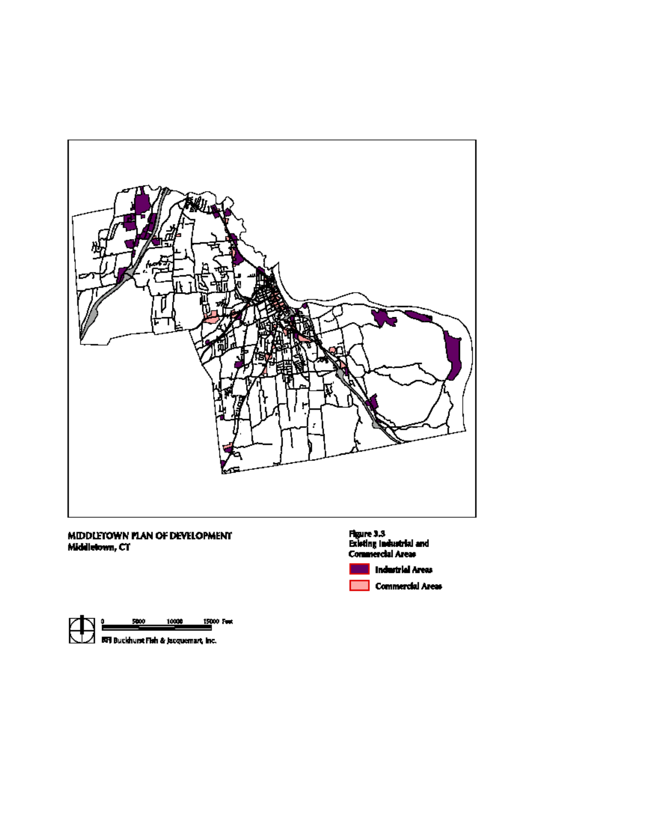

# MIDDLETOWN PLAN OF DEVELOPMENT<br>Middletown, CT



住 5000 10000 15000 Feet  $\boldsymbol{\varDelta}$  . EXT Buckhurst Fish & Jacquemart, Inc.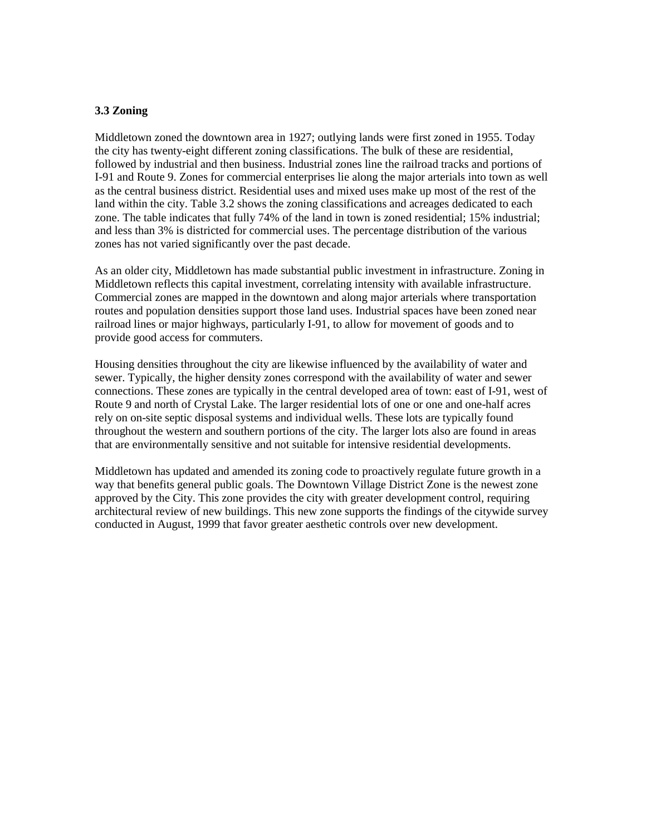#### **3.3 Zoning**

Middletown zoned the downtown area in 1927; outlying lands were first zoned in 1955. Today the city has twenty-eight different zoning classifications. The bulk of these are residential, followed by industrial and then business. Industrial zones line the railroad tracks and portions of I-91 and Route 9. Zones for commercial enterprises lie along the major arterials into town as well as the central business district. Residential uses and mixed uses make up most of the rest of the land within the city. Table 3.2 shows the zoning classifications and acreages dedicated to each zone. The table indicates that fully 74% of the land in town is zoned residential; 15% industrial; and less than 3% is districted for commercial uses. The percentage distribution of the various zones has not varied significantly over the past decade.

As an older city, Middletown has made substantial public investment in infrastructure. Zoning in Middletown reflects this capital investment, correlating intensity with available infrastructure. Commercial zones are mapped in the downtown and along major arterials where transportation routes and population densities support those land uses. Industrial spaces have been zoned near railroad lines or major highways, particularly I-91, to allow for movement of goods and to provide good access for commuters.

Housing densities throughout the city are likewise influenced by the availability of water and sewer. Typically, the higher density zones correspond with the availability of water and sewer connections. These zones are typically in the central developed area of town: east of I-91, west of Route 9 and north of Crystal Lake. The larger residential lots of one or one and one-half acres rely on on-site septic disposal systems and individual wells. These lots are typically found throughout the western and southern portions of the city. The larger lots also are found in areas that are environmentally sensitive and not suitable for intensive residential developments.

Middletown has updated and amended its zoning code to proactively regulate future growth in a way that benefits general public goals. The Downtown Village District Zone is the newest zone approved by the City. This zone provides the city with greater development control, requiring architectural review of new buildings. This new zone supports the findings of the citywide survey conducted in August, 1999 that favor greater aesthetic controls over new development.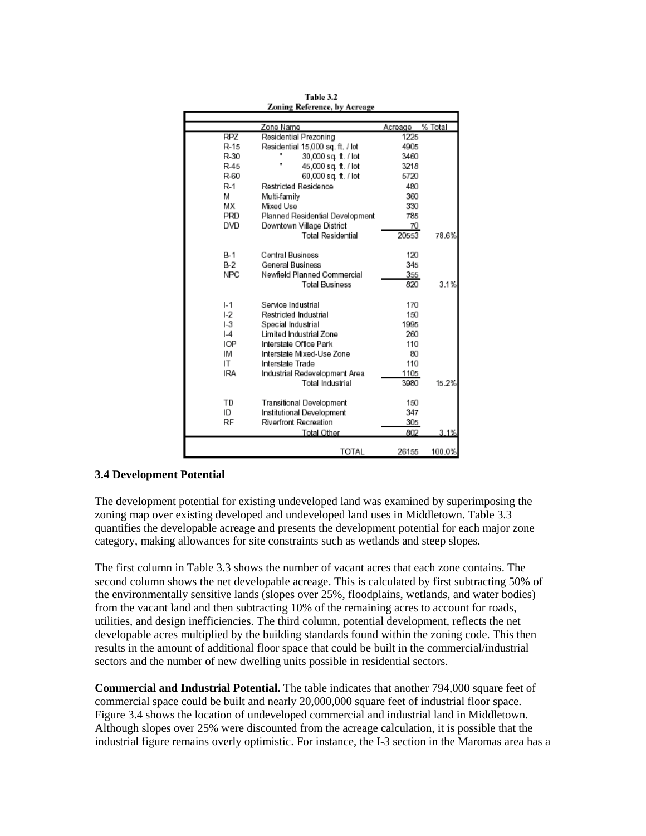|                | Zone Name                            | Acreage | % Total |
|----------------|--------------------------------------|---------|---------|
| RPZ            | Residential Prezoning                | 1225    |         |
| R-15           | Residential 15,000 sq. ft. / lot     | 4905    |         |
| R-30           | 30,000 sq. ft. / lot                 | 3460    |         |
| R-45           | $\mathbf{u}$<br>45,000 sq. ft. / lot | 3218    |         |
| R-60           | 60,000 sq. ft. / lot                 | 5720    |         |
| $R-1$          | Restricted Residence                 | 480     |         |
| M              | Multi-family                         | 360     |         |
| МX             | Mixed Use                            | 330     |         |
| PRD            | Planned Residential Development      | 785     |         |
| DVD            | Downtown Village District            | 70      |         |
|                | <b>Total Residential</b>             | 20553   | 78.6%   |
| $B-1$          | Central Business                     | 120     |         |
| $B-2$          | <b>General Business</b>              | 345     |         |
| <b>NPC</b>     | Newfield Planned Commercial          | 355     |         |
|                | <b>Total Business</b>                | 820     | 3.1%    |
|                |                                      |         |         |
| $I - 1$        | Service Industrial                   | 170     |         |
| L <sub>2</sub> | Restricted Industrial                | 150     |         |
| $-3$           | Special Industrial                   | 1995    |         |
| $-4$           | Limited Industrial Zone              | 260     |         |
| <b>IOP</b>     | Interstate Office Park               | 110     |         |
| ΙM             | Interstate Mixed-Use Zone            | 80      |         |
| ΙT             | Interstate Trade                     | 110     |         |
| <b>IRA</b>     | Industrial Redevelopment Area        | 1105    |         |
|                | Total Industrial                     | 3980    | 15.2%   |
| TD             | <b>Transitional Development</b>      | 150     |         |
| ID             | Institutional Development            | 347     |         |
| RF             | <b>Riverfront Recreation</b>         | 305     |         |
|                | Total Other                          | 802     | .1%     |
|                |                                      |         |         |
|                | TOTAL                                | 26155   | 100.0%  |

Table 3.2 Zoning Reference, by Acreage

#### **3.4 Development Potential**

The development potential for existing undeveloped land was examined by superimposing the zoning map over existing developed and undeveloped land uses in Middletown. Table 3.3 quantifies the developable acreage and presents the development potential for each major zone category, making allowances for site constraints such as wetlands and steep slopes.

The first column in Table 3.3 shows the number of vacant acres that each zone contains. The second column shows the net developable acreage. This is calculated by first subtracting 50% of the environmentally sensitive lands (slopes over 25%, floodplains, wetlands, and water bodies) from the vacant land and then subtracting 10% of the remaining acres to account for roads, utilities, and design inefficiencies. The third column, potential development, reflects the net developable acres multiplied by the building standards found within the zoning code. This then results in the amount of additional floor space that could be built in the commercial/industrial sectors and the number of new dwelling units possible in residential sectors.

**Commercial and Industrial Potential.** The table indicates that another 794,000 square feet of commercial space could be built and nearly 20,000,000 square feet of industrial floor space. Figure 3.4 shows the location of undeveloped commercial and industrial land in Middletown. Although slopes over 25% were discounted from the acreage calculation, it is possible that the industrial figure remains overly optimistic. For instance, the I-3 section in the Maromas area has a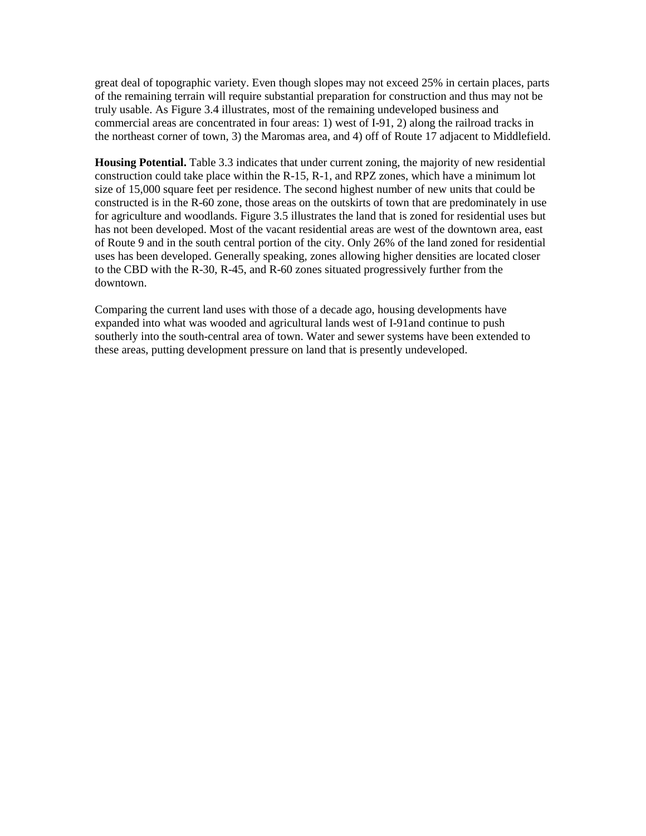great deal of topographic variety. Even though slopes may not exceed 25% in certain places, parts of the remaining terrain will require substantial preparation for construction and thus may not be truly usable. As Figure 3.4 illustrates, most of the remaining undeveloped business and commercial areas are concentrated in four areas: 1) west of I-91, 2) along the railroad tracks in the northeast corner of town, 3) the Maromas area, and 4) off of Route 17 adjacent to Middlefield.

**Housing Potential.** Table 3.3 indicates that under current zoning, the majority of new residential construction could take place within the R-15, R-1, and RPZ zones, which have a minimum lot size of 15,000 square feet per residence. The second highest number of new units that could be constructed is in the R-60 zone, those areas on the outskirts of town that are predominately in use for agriculture and woodlands. Figure 3.5 illustrates the land that is zoned for residential uses but has not been developed. Most of the vacant residential areas are west of the downtown area, east of Route 9 and in the south central portion of the city. Only 26% of the land zoned for residential uses has been developed. Generally speaking, zones allowing higher densities are located closer to the CBD with the R-30, R-45, and R-60 zones situated progressively further from the downtown.

Comparing the current land uses with those of a decade ago, housing developments have expanded into what was wooded and agricultural lands west of I-91and continue to push southerly into the south-central area of town. Water and sewer systems have been extended to these areas, putting development pressure on land that is presently undeveloped.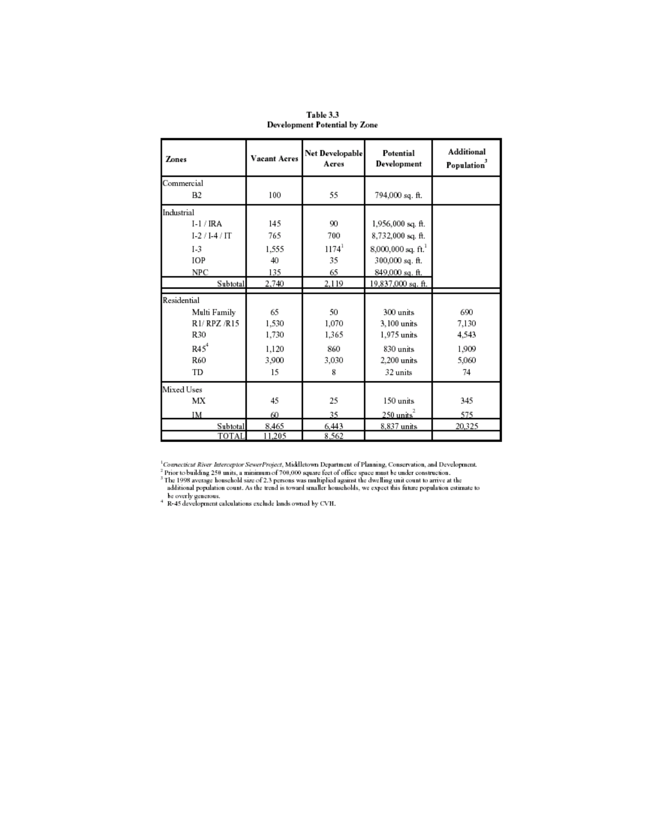| Zones        | Vacant Acres | Net Developable<br>Acres | Potential<br>Development | <b>Additional</b><br>Population <sup>2</sup> |
|--------------|--------------|--------------------------|--------------------------|----------------------------------------------|
| Commercial   |              |                          |                          |                                              |
| <b>B2</b>    | 100          | 55                       | 794,000 sq. ft.          |                                              |
| Industrial   |              |                          |                          |                                              |
| $I-1/IRA$    | 145          | 90                       | 1,956,000 sq. ft.        |                                              |
| $I-2/I-4/IT$ | 765          | 700                      | 8,732,000 sq. ft.        |                                              |
| $I-3$        | 1.555        | $1174^{1}$               | $8,000,000$ sq. ft. $^1$ |                                              |
| IOP          | 40           | 35                       | 300,000 sq. ft.          |                                              |
| NPC          | 135          | 65                       | 849,000 sq. ft.          |                                              |
| Subtotal     | 2,740        | 2,119                    | 19,837,000 sq. ft.       |                                              |
| Residential  |              |                          |                          |                                              |
| Multi Family | 65           | 50                       | 300 units                | 690                                          |
| R1/ RPZ /R15 | 1.530        | 1,070                    | 3,100 units              | 7.130                                        |
| R30          | 1,730        | 1,365                    | 1,975 units              | 4.543                                        |
| $R45^4$      | 1.120        | 860                      | 830 units                | 1.909                                        |
| <b>R60</b>   | 3.900        | 3.030                    | 2.200 units              | 5.060                                        |
| TD           | 15           | 8                        | 32 units                 | 74                                           |
| Mixed Uses   |              |                          |                          |                                              |
| МX           | 45           | 25                       | 150 units                | 345                                          |
| IM           | 60           | 35                       | $250 \text{ units}^2$    | 575                                          |
| Subtotal     | 8.465        | 6,443                    | 8,837 units              | 20,325                                       |
| TOTAL        | 11,205       | 8.562                    |                          |                                              |

Table 3.3 **Development Potential by Zone** 

<sup>1</sup>Convecticat River Interceptor SewerProject, Middletown Department of Planning, Conservation, and Development.<sup>2</sup> Prior to building 250 units, a minimum of 700,000 square feet of office space must be under construction.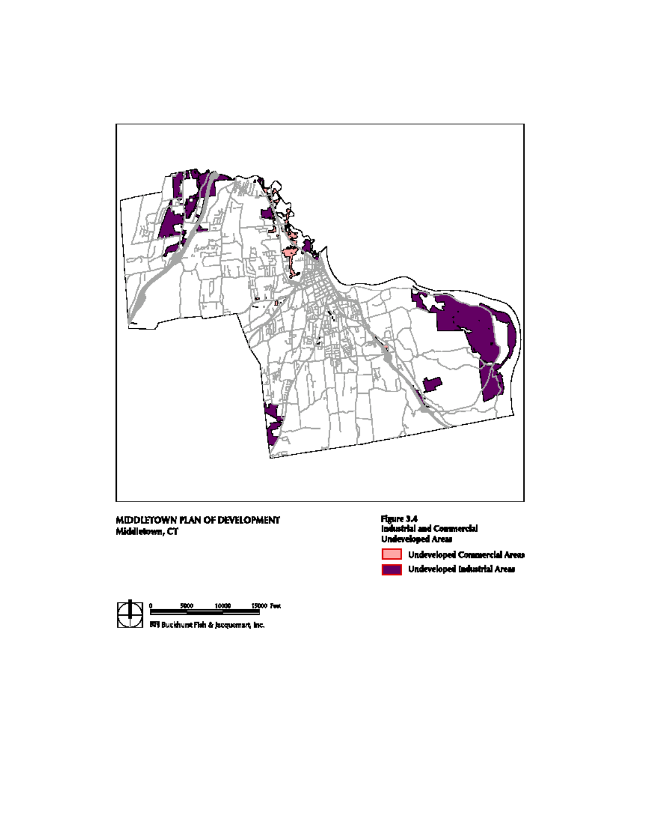

# MIDDLETOWN PLAN OF DEVELOPMENT<br>Middletown, CT





Undeveloped Commercial Areas Undeveloped Industrial Areas

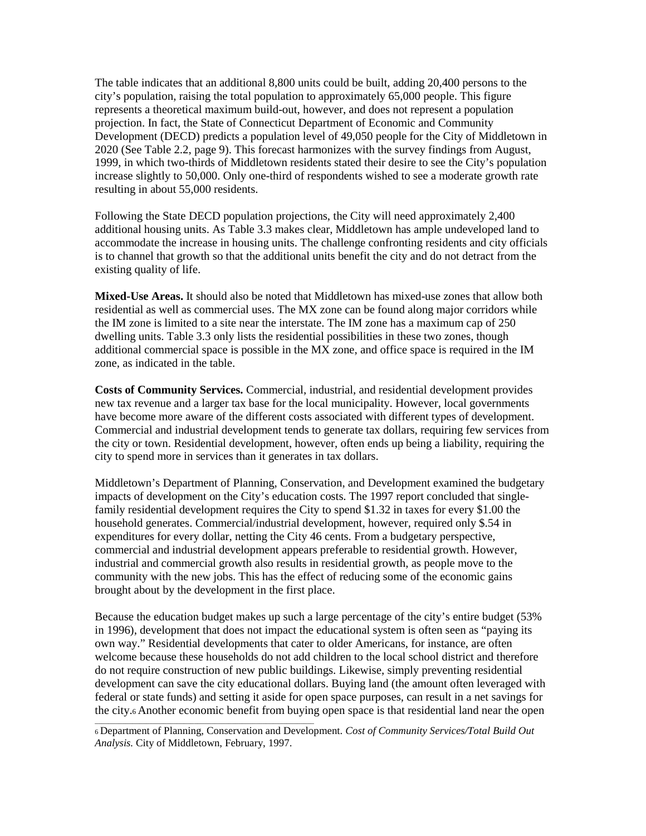The table indicates that an additional 8,800 units could be built, adding 20,400 persons to the city's population, raising the total population to approximately 65,000 people. This figure represents a theoretical maximum build-out, however, and does not represent a population projection. In fact, the State of Connecticut Department of Economic and Community Development (DECD) predicts a population level of 49,050 people for the City of Middletown in 2020 (See Table 2.2, page 9). This forecast harmonizes with the survey findings from August, 1999, in which two-thirds of Middletown residents stated their desire to see the City's population increase slightly to 50,000. Only one-third of respondents wished to see a moderate growth rate resulting in about 55,000 residents.

Following the State DECD population projections, the City will need approximately 2,400 additional housing units. As Table 3.3 makes clear, Middletown has ample undeveloped land to accommodate the increase in housing units. The challenge confronting residents and city officials is to channel that growth so that the additional units benefit the city and do not detract from the existing quality of life.

**Mixed-Use Areas.** It should also be noted that Middletown has mixed-use zones that allow both residential as well as commercial uses. The MX zone can be found along major corridors while the IM zone is limited to a site near the interstate. The IM zone has a maximum cap of 250 dwelling units. Table 3.3 only lists the residential possibilities in these two zones, though additional commercial space is possible in the MX zone, and office space is required in the IM zone, as indicated in the table.

**Costs of Community Services.** Commercial, industrial, and residential development provides new tax revenue and a larger tax base for the local municipality. However, local governments have become more aware of the different costs associated with different types of development. Commercial and industrial development tends to generate tax dollars, requiring few services from the city or town. Residential development, however, often ends up being a liability, requiring the city to spend more in services than it generates in tax dollars.

Middletown's Department of Planning, Conservation, and Development examined the budgetary impacts of development on the City's education costs. The 1997 report concluded that singlefamily residential development requires the City to spend \$1.32 in taxes for every \$1.00 the household generates. Commercial/industrial development, however, required only \$.54 in expenditures for every dollar, netting the City 46 cents. From a budgetary perspective, commercial and industrial development appears preferable to residential growth. However, industrial and commercial growth also results in residential growth, as people move to the community with the new jobs. This has the effect of reducing some of the economic gains brought about by the development in the first place.

Because the education budget makes up such a large percentage of the city's entire budget (53% in 1996), development that does not impact the educational system is often seen as "paying its own way." Residential developments that cater to older Americans, for instance, are often welcome because these households do not add children to the local school district and therefore do not require construction of new public buildings. Likewise, simply preventing residential development can save the city educational dollars. Buying land (the amount often leveraged with federal or state funds) and setting it aside for open space purposes, can result in a net savings for the city. $\epsilon$  Another economic benefit from buying open space is that residential land near the open

<sup>6</sup> Department of Planning, Conservation and Development. *Cost of Community Services/Total Build Out Analysis.* City of Middletown, February, 1997.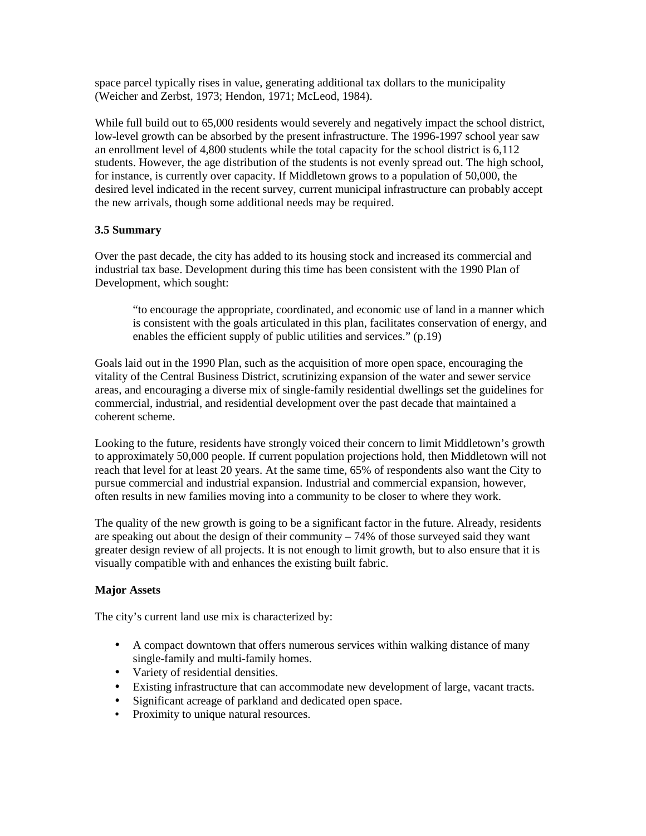space parcel typically rises in value, generating additional tax dollars to the municipality (Weicher and Zerbst, 1973; Hendon, 1971; McLeod, 1984).

While full build out to 65,000 residents would severely and negatively impact the school district, low-level growth can be absorbed by the present infrastructure. The 1996-1997 school year saw an enrollment level of 4,800 students while the total capacity for the school district is 6,112 students. However, the age distribution of the students is not evenly spread out. The high school, for instance, is currently over capacity. If Middletown grows to a population of 50,000, the desired level indicated in the recent survey, current municipal infrastructure can probably accept the new arrivals, though some additional needs may be required.

## **3.5 Summary**

Over the past decade, the city has added to its housing stock and increased its commercial and industrial tax base. Development during this time has been consistent with the 1990 Plan of Development, which sought:

"to encourage the appropriate, coordinated, and economic use of land in a manner which is consistent with the goals articulated in this plan, facilitates conservation of energy, and enables the efficient supply of public utilities and services." (p.19)

Goals laid out in the 1990 Plan, such as the acquisition of more open space, encouraging the vitality of the Central Business District, scrutinizing expansion of the water and sewer service areas, and encouraging a diverse mix of single-family residential dwellings set the guidelines for commercial, industrial, and residential development over the past decade that maintained a coherent scheme.

Looking to the future, residents have strongly voiced their concern to limit Middletown's growth to approximately 50,000 people. If current population projections hold, then Middletown will not reach that level for at least 20 years. At the same time, 65% of respondents also want the City to pursue commercial and industrial expansion. Industrial and commercial expansion, however, often results in new families moving into a community to be closer to where they work.

The quality of the new growth is going to be a significant factor in the future. Already, residents are speaking out about the design of their community – 74% of those surveyed said they want greater design review of all projects. It is not enough to limit growth, but to also ensure that it is visually compatible with and enhances the existing built fabric.

## **Major Assets**

The city's current land use mix is characterized by:

- A compact downtown that offers numerous services within walking distance of many single-family and multi-family homes.
- Variety of residential densities.
- Existing infrastructure that can accommodate new development of large, vacant tracts.
- Significant acreage of parkland and dedicated open space.
- Proximity to unique natural resources.